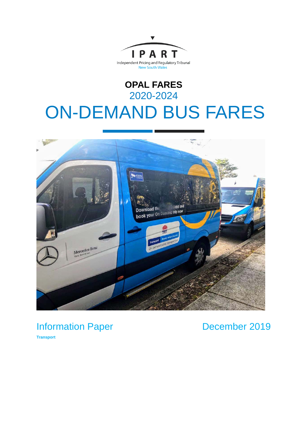

# **OPAL FARES** 2020-2024 ON-DEMAND BUS FARES



Information Paper

December 2019

**Transport**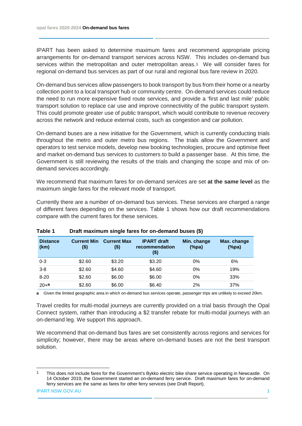IPART has been asked to determine maximum fares and recommend appropriate pricing arrangements for on-demand transport services across NSW. This includes on-demand bus services within the metropolitan and outer metropolitan areas.[1](#page-1-0) We will consider fares for regional on-demand bus services as part of our rural and regional bus fare review in 2020.

On-demand bus services allow passengers to book transport by bus from their home or a nearby collection point to a local transport hub or community centre. On-demand services could reduce the need to run more expensive fixed route services, and provide a 'first and last mile' public transport solution to replace car use and improve connectivitity of the public transport system. This could promote greater use of public transport, which would contribute to revenue recovery across the network and reduce external costs, such as congestion and car pollution.

On-demand buses are a new initiative for the Government, which is currently conducting trials throughout the metro and outer metro bus regions. The trials allow the Government and operators to test service models, develop new booking technologies, procure and optimise fleet and market on-demand bus services to customers to build a passenger base. At this time, the Government is still reviewing the results of the trials and changing the scope and mix of ondemand services accordingly.

We recommend that maximum fares for on-demand services are set **at the same level** as the maximum single fares for the relevant mode of transport.

Currently there are a number of on-demand bus services. These services are charged a range of different fares depending on the services. Table 1 shows how our draft recommendations compare with the current fares for these services.

| <b>Distance</b><br>(km) | <b>Current Min</b><br>(\$) | <b>Current Max</b><br>(\$) | <b>IPART</b> draft<br>recommendation<br>(\$) | Min. change<br>$(\%pa)$ | Max. change<br>$(\%pa)$ |
|-------------------------|----------------------------|----------------------------|----------------------------------------------|-------------------------|-------------------------|
| $0 - 3$                 | \$2.60                     | \$3.20                     | \$3.20                                       | $0\%$                   | 6%                      |
| $3 - 8$                 | \$2.60                     | \$4.60                     | \$4.60                                       | 0%                      | 19%                     |
| $8 - 20$                | \$2.60                     | \$6.00                     | \$6.00                                       | 0%                      | 33%                     |
| $20 + a$                | \$2.60                     | \$6.00                     | \$6.40                                       | 2%                      | 37%                     |

**Table 1 Draft maximum single fares for on-demand buses (\$)**

**a** Given the limited geographic area in which on-demand bus services operate, passenger trips are unlikely to exceed 20km.

Travel credits for multi-modal journeys are currently provided on a trial basis through the Opal Connect system, rather than introducing a \$2 transfer rebate for multi-modal journeys with an on-demand leg. We support this approach.

We recommend that on-demand bus fares are set consistently across regions and services for simplicity; however, there may be areas where on-demand buses are not the best transport solution.

<span id="page-1-0"></span> <sup>1</sup> This does not include fares for the Government's Bykko electric bike share service operating in Newcastle. On 14 October 2019, the Government started an on-demand ferry service. Draft maximum fares for on-demand ferry services are the same as fares for other ferry services (see Draft Report).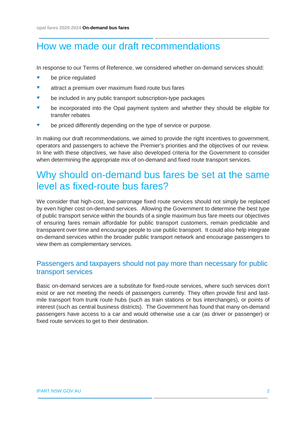## How we made our draft recommendations

In response to our Terms of Reference, we considered whether on-demand services should:

- **v** be price regulated
- **v** attract a premium over maximum fixed route bus fares
- be included in any public transport subscription-type packages
- **v** be incorporated into the Opal payment system and whether they should be eligible for transfer rebates
- be priced differently depending on the type of service or purpose.

In making our draft recommendations, we aimed to provide the right incentives to government, operators and passengers to achieve the Premier's priorities and the objectives of our review. In line with these objectives, we have also developed criteria for the Government to consider when determining the appropriate mix of on-demand and fixed route transport services.

### Why should on-demand bus fares be set at the same level as fixed-route bus fares?

We consider that high-cost, low-patronage fixed route services should not simply be replaced by even higher cost on-demand services. Allowing the Government to determine the best type of public transport service within the bounds of a single maximum bus fare meets our objectives of ensuring fares remain affordable for public transport customers, remain predictable and transparent over time and encourage people to use public transport. It could also help integrate on-demand services within the broader public transport network and encourage passengers to view them as complementary services.

### Passengers and taxpayers should not pay more than necessary for public transport services

Basic on-demand services are a substitute for fixed-route services, where such services don't exist or are not meeting the needs of passengers currently. They often provide first and lastmile transport from trunk route hubs (such as train stations or bus interchanges), or points of interest (such as central business districts). The Government has found that many on-demand passengers have access to a car and would otherwise use a car (as driver or passenger) or fixed route services to get to their destination.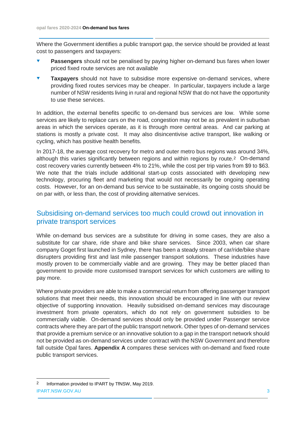Where the Government identifies a public transport gap, the service should be provided at least cost to passengers and taxpayers:

- **Passengers** should not be penalised by paying higher on-demand bus fares when lower priced fixed route services are not available
- **Taxpayers** should not have to subsidise more expensive on-demand services, where providing fixed routes services may be cheaper. In particular, taxpayers include a large number of NSW residents living in rural and regional NSW that do not have the opportunity to use these services.

In addition, the external benefits specific to on-demand bus services are low. While some services are likely to replace cars on the road, congestion may not be as prevalent in suburban areas in which the services operate, as it is through more central areas. And car parking at stations is mostly a private cost. It may also disincentivise active transport, like walking or cycling, which has positive health benefits.

In 2017-18, the average cost recovery for metro and outer metro bus regions was around 34%, although this varies significantly between regions and within regions by route.[2](#page-3-0) On-demand cost recovery varies currently between 4% to 21%, while the cost per trip varies from \$9 to \$63. We note that the trials include additional start-up costs associated with developing new technology, procuring fleet and marketing that would not necessarily be ongoing operating costs. However, for an on-demand bus service to be sustainable, its ongoing costs should be on par with, or less than, the cost of providing alternative services.

### Subsidising on-demand services too much could crowd out innovation in private transport services

While on-demand bus services are a substitute for driving in some cases, they are also a substitute for car share, ride share and bike share services. Since 2003, when car share company Goget first launched in Sydney, there has been a steady stream of car/ride/bike share disrupters providing first and last mile passenger transport solutions. These industries have mostly proven to be commercially viable and are growing. They may be better placed than government to provide more customised transport services for which customers are willing to pay more.

Where private providers are able to make a commercial return from offering passenger transport solutions that meet their needs, this innovation should be encouraged in line with our review objective of supporting innovation. Heavily subsidised on-demand services may discourage investment from private operators, which do not rely on government subsidies to be commercially viable. On-demand services should only be provided under Passenger service contracts where they are part of the public transport network. Other types of on-demand services that provide a premium service or an innovative solution to a gap in the transport network should not be provided as on-demand services under contract with the NSW Government and therefore fall outside Opal fares. **Appendix A** compares these services with on-demand and fixed route public transport services.

<span id="page-3-0"></span>IPART.NSW.GOV.AU 3 2 Information provided to IPART by TfNSW, May 2019.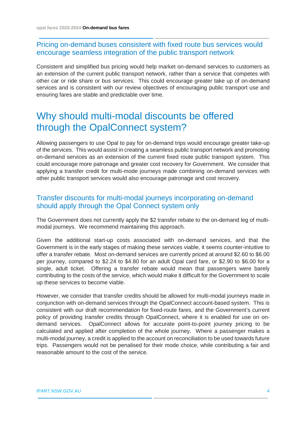### Pricing on-demand buses consistent with fixed route bus services would encourage seamless integration of the public transport network

Consistent and simplified bus pricing would help market on-demand services to customers as an extension of the current public transport network, rather than a service that competes with other car or ride share or bus services. This could encourage greater take up of on-demand services and is consistent with our review objectives of encouraging public transport use and ensuring fares are stable and predictable over time.

# Why should multi-modal discounts be offered through the OpalConnect system?

Allowing passengers to use Opal to pay for on-demand trips would encourage greater take-up of the services. This would assist in creating a seamless public transport network and promoting on-demand services as an extension of the current fixed route public transport system. This could encourage more patronage and greater cost recovery for Government. We consider that applying a transfer credit for multi-mode journeys made combining on-demand services with other public transport services would also encourage patronage and cost recovery.

### Transfer discounts for multi-modal journeys incorporating on-demand should apply through the Opal Connect system only

The Government does not currently apply the \$2 transfer rebate to the on-demand leg of multimodal journeys. We recommend maintaining this approach.

Given the additional start-up costs associated with on-demand services, and that the Government is in the early stages of making these services viable, it seems counter-intuitive to offer a transfer rebate. Most on-demand services are currently priced at around \$2.60 to \$6.00 per journey, compared to \$2.24 to \$4.80 for an adult Opal card fare, or \$2.90 to \$6.00 for a single, adult ticket. Offering a transfer rebate would mean that passengers were barely contributing to the costs of the service, which would make it difficult for the Government to scale up these services to become viable.

However, we consider that transfer credits should be allowed for multi-modal journeys made in conjunction with on-demand services through the OpalConnect account-based system. This is consistent with our draft recommendation for fixed-route fares, and the Government's current policy of providing transfer credits through OpalConnect, where it is enabled for use on ondemand services. OpalConnect allows for accurate point-to-point journey pricing to be calculated and applied after completion of the whole journey. Where a passenger makes a multi-modal journey, a credit is applied to the account on reconciliation to be used towards future trips. Passengers would not be penalised for their mode choice, while contributing a fair and reasonable amount to the cost of the service.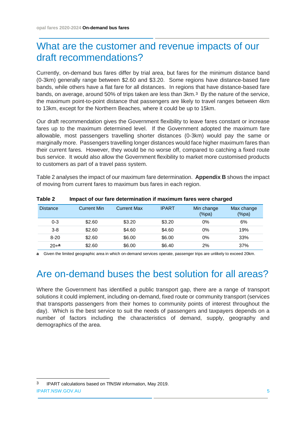## What are the customer and revenue impacts of our draft recommendations?

Currently, on-demand bus fares differ by trial area, but fares for the minimum distance band (0-3km) generally range between \$2.60 and \$3.20. Some regions have distance-based fare bands, while others have a flat fare for all distances. In regions that have distance-based fare bands, on average, around 50% of trips taken are less than 3km.[3](#page-5-0) By the nature of the service, the maximum point-to-point distance that passengers are likely to travel ranges between 4km to 13km, except for the Northern Beaches, where it could be up to 15km.

Our draft recommendation gives the Government flexibility to leave fares constant or increase fares up to the maximum determined level. If the Government adopted the maximum fare allowable, most passengers travelling shorter distances (0-3km) would pay the same or marginally more. Passengers travelling longer distances would face higher maximum fares than their current fares. However, they would be no worse off, compared to catching a fixed route bus service. It would also allow the Government flexibility to market more customised products to customers as part of a travel pass system.

Table 2 analyses the impact of our maximum fare determination. **Appendix B** shows the impact of moving from current fares to maximum bus fares in each region.

| <b>Distance</b> | <b>Current Min</b> | Current Max | <b>IPART</b> | Min change<br>$(\%pa)$ | Max change<br>(% |
|-----------------|--------------------|-------------|--------------|------------------------|------------------|
| $0 - 3$         | \$2.60             | \$3.20      | \$3.20       | 0%                     | 6%               |
| $3 - 8$         | \$2.60             | \$4.60      | \$4.60       | 0%                     | 19%              |
| $8 - 20$        | \$2.60             | \$6.00      | \$6.00       | $0\%$                  | 33%              |
| $20 + a$        | \$2.60             | \$6.00      | \$6.40       | 2%                     | 37%              |

### **Table 2 Impact of our fare determination if maximum fares were charged**

**a** Given the limited geographic area in which on-demand services operate, passenger trips are unlikely to exceed 20km.

## Are on-demand buses the best solution for all areas?

Where the Government has identified a public transport gap, there are a range of transport solutions it could implement, including on-demand, fixed route or community transport (services that transports passengers from their homes to community points of interest throughout the day). Which is the best service to suit the needs of passengers and taxpayers depends on a number of factors including the characteristics of demand, supply, geography and demographics of the area.

<span id="page-5-0"></span>IPART.NSW.GOV.AU 5 3 IPART calculations based on TfNSW information, May 2019.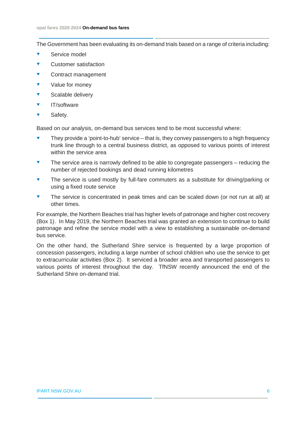The Government has been evaluating its on-demand trials based on a range of criteria including:

- Service model
- Customer satisfaction
- Contract management
- Value for money
- ▼ Scalable delivery
- IT/software
- Safety.

Based on our analysis, on-demand bus services tend to be most successful where:

- They provide a 'point-to-hub' service that is, they convey passengers to a high frequency trunk line through to a central business district, as opposed to various points of interest within the service area
- The service area is narrowly defined to be able to congregate passengers reducing the number of rejected bookings and dead running kilometres
- The service is used mostly by full-fare commuters as a substitute for driving/parking or using a fixed route service
- The service is concentrated in peak times and can be scaled down (or not run at all) at other times.

For example, the Northern Beaches trial has higher levels of patronage and higher cost recovery (Box 1). In May 2019, the Northern Beaches trial was granted an extension to continue to build patronage and refine the service model with a view to establishing a sustainable on-demand bus service.

On the other hand, the Sutherland Shire service is frequented by a large proportion of concession passengers, including a large number of school children who use the service to get to extracurricular activities (Box 2). It serviced a broader area and transported passengers to various points of interest throughout the day. TfNSW recently announced the end of the Sutherland Shire on-demand trial.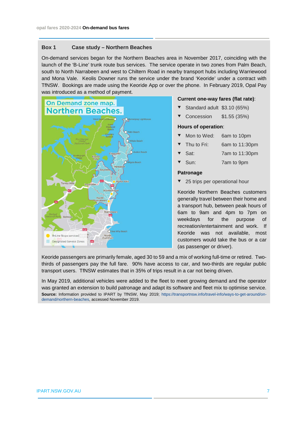#### **Box 1 Case study – Northern Beaches**

On-demand services began for the Northern Beaches area in November 2017, coinciding with the launch of the 'B-Line' trunk route bus services. The service operate in two zones from Palm Beach, south to North Narrabeen and west to Chiltern Road in nearby transport hubs including Warriewood and Mona Vale. Keolis Downer runs the service under the brand 'Keoride' under a contract with TfNSW. Bookings are made using the Keoride App or over the phone. In February 2019, Opal Pay was introduced as a method of payment.



#### **Current one-way fares (flat rate)**:

- Standard adult \$3.10 (65%)
- Concession \$1.55 (35%)

#### **Hours of operation**:

- Mon to Wed: 6am to 10pm
- Thu to Fri: 6am to 11:30pm
- Sat: 7am to 11:30pm
- Sun: 7am to 9pm

#### **Patronage**

25 trips per operational hour

Keoride Northern Beaches customers generally travel between their home and a transport hub, between peak hours of 6am to 9am and 4pm to 7pm on weekdays for the purpose of recreation/entertainment and work. If Keoride was not available, most customers would take the bus or a car (as passenger or driver).

Keoride passengers are primarily female, aged 30 to 59 and a mix of working full-time or retired. Twothirds of passengers pay the full fare. 90% have access to car, and two-thirds are regular public transport users. TfNSW estimates that in 35% of trips result in a car not being driven.

In May 2019, additional vehicles were added to the fleet to meet growing demand and the operator was granted an extension to build patronage and adapt its software and fleet mix to optimise service. **Source:** Information provided to IPART by TfNSW, May 2019; [https://transportnsw.info/travel-info/ways-to-get-around/on](https://transportnsw.info/travel-info/ways-to-get-around/on-demand/northern-beaches)[demand/northern-beaches,](https://transportnsw.info/travel-info/ways-to-get-around/on-demand/northern-beaches) accessed November 2019.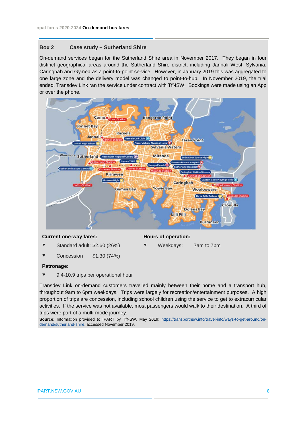#### **Box 2 Case study – Sutherland Shire**

On-demand services began for the Sutherland Shire area in November 2017. They began in four distinct geographical areas around the Sutherland Shire district, including Jannali West, Sylvania, Caringbah and Gymea as a point-to-point service. However, in January 2019 this was aggregated to one large zone and the delivery model was changed to point-to-hub. In November 2019, the trial ended. Transdev Link ran the service under contract with TfNSW. Bookings were made using an App or over the phone.



#### **Current one-way fares: Hours of operation:**

- Standard adult: \$2.60 (26%) **▼** Weekdays: 7am to 7pm
- Concession \$1.30 (74%)

#### **Patronage:**

9.4-10.9 trips per operational hour

Transdev Link on-demand customers travelled mainly between their home and a transport hub, throughout 9am to 6pm weekdays. Trips were largely for recreation/entertainment purposes. A high proportion of trips are concession, including school children using the service to get to extracurricular activities. If the service was not available, most passengers would walk to their destination. A third of trips were part of a multi-mode journey.

**Source:** Information provided to IPART by TfNSW, May 2019; [https://transportnsw.info/travel-info/ways-to-get-around/on](https://transportnsw.info/travel-info/ways-to-get-around/on-demand/sutherland-shire)[demand/sutherland-shire,](https://transportnsw.info/travel-info/ways-to-get-around/on-demand/sutherland-shire) accessed November 2019.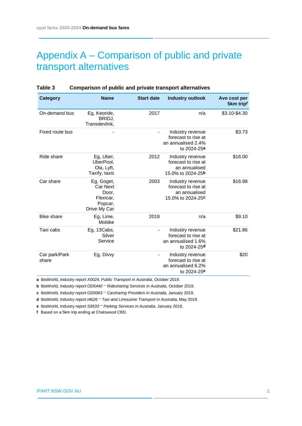# Appendix A – Comparison of public and private transport alternatives

| <b>Category</b>        | <b>Name</b>                                                                    | <b>Start date</b> | <b>Industry outlook</b>                                                                  | Ave cost per<br>5km tripf |
|------------------------|--------------------------------------------------------------------------------|-------------------|------------------------------------------------------------------------------------------|---------------------------|
| On-demand bus          | Eg, Keoride,<br>BRIDJ,<br>Transdevlink,                                        | 2017              | n/a                                                                                      | \$3.10-\$4.30             |
| Fixed route bus        |                                                                                |                   | Industry revenue<br>forecast to rise at<br>an annualised 2.4%<br>to 2024-25a             | \$3.73                    |
| Ride share             | Eg, Uber,<br>UberPool,<br>Ola, Lyft,<br>Taxify, taxis                          | 2012              | Industry revenue<br>forecast to rise at<br>an annualised<br>15.0% to 2024-25b            | \$16.00                   |
| Car share              | Eg, Goget,<br><b>Car Next</b><br>Door.<br>Flexicar,<br>Popcar,<br>Drive My Car | 2003              | Industry revenue<br>forecast to rise at<br>an annualised<br>15.0% to 2024-25c            | \$16.98                   |
| <b>Bike share</b>      | Eg, Lime,<br>Mobike                                                            | 2018              | n/a                                                                                      | \$9.10                    |
| Taxi cabs              | Eg, 13Cabs,<br>Silver<br>Service                                               |                   | Industry revenue<br>forecast to rise at<br>an annualised 1.6%<br>to 2024-25d             | \$21.86                   |
| Car park/Park<br>share | Eg, Divvy                                                                      |                   | Industry revenue<br>forecast to rise at<br>an annualised 6.2%<br>to 2024-25 <sup>e</sup> | \$20                      |

#### **Table 3 Comparison of public and private transport alternatives**

**a** IbisWorld, *Industry report X0024, Public Transport in Australia*, October 2019.

**b** IbisWorld*, Industry report OD5440 – Ridesharing Services in Australia*, October 2019.

**c** IbisWorld*, Industry report OD5063 – Carsharing Providers in Australia*, January 2019.

**d** IbisWorld, Industry report *I4626 – Taxi and Limousine Transport in Australia*, May 2019.

**e** IbisWorld, Industry report *S9533 – Parking Services in Australia*, January 2019.

**f** Based on a 5km trip ending at Chatswood CBD.